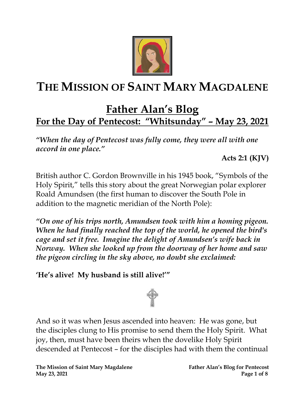

# **THE MISSION OF SAINT MARY MAGDALENE**

# **Father Alan's Blog For the Day of Pentecost: "Whitsunday" – May 23, 2021**

*"When the day of Pentecost was fully come, they were all with one accord in one place."* 

**Acts 2:1 (KJV)**

British author C. Gordon Brownville in his 1945 book, "Symbols of the Holy Spirit," tells this story about the great Norwegian polar explorer Roald Amundsen (the first human to discover the South Pole in addition to the magnetic meridian of the North Pole):

*"On one of his trips north, Amundsen took with him a homing pigeon. When he had finally reached the top of the world, he opened the bird's cage and set it free. Imagine the delight of Amundsen's wife back in Norway. When she looked up from the doorway of her home and saw the pigeon circling in the sky above, no doubt she exclaimed:*

**'He's alive! My husband is still alive!'"**



And so it was when Jesus ascended into heaven: He was gone, but the disciples clung to His promise to send them the Holy Spirit. What joy, then, must have been theirs when the dovelike Holy Spirit descended at Pentecost – for the disciples had with them the continual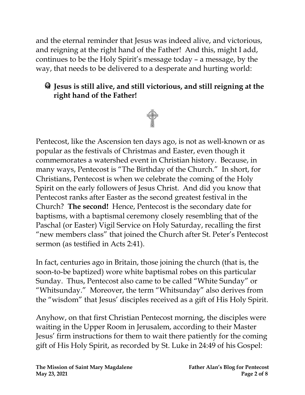and the eternal reminder that Jesus was indeed alive, and victorious, and reigning at the right hand of the Father! And this, might I add, continues to be the Holy Spirit's message today – a message, by the way, that needs to be delivered to a desperate and hurting world:

## **Jesus is still alive, and still victorious, and still reigning at the right hand of the Father!**



Pentecost, like the Ascension ten days ago, is not as well-known or as popular as the festivals of Christmas and Easter, even though it commemorates a watershed event in Christian history. Because, in many ways, Pentecost is "The Birthday of the Church." In short, for Christians, Pentecost is when we celebrate the coming of the Holy Spirit on the early followers of Jesus Christ. And did you know that Pentecost ranks after Easter as the second greatest festival in the Church? **The second!** Hence, Pentecost is the secondary date for baptisms, with a baptismal ceremony closely resembling that of the Paschal (or Easter) Vigil Service on Holy Saturday, recalling the first "new members class" that joined the Church after St. Peter's Pentecost sermon (as testified in Acts 2:41).

In fact, centuries ago in Britain, those joining the church (that is, the soon-to-be baptized) wore white baptismal robes on this particular Sunday. Thus, Pentecost also came to be called "White Sunday" or "Whitsunday." Moreover, the term "Whitsunday" also derives from the "wisdom" that Jesus' disciples received as a gift of His Holy Spirit.

Anyhow, on that first Christian Pentecost morning, the disciples were waiting in the Upper Room in Jerusalem, according to their Master Jesus' firm instructions for them to wait there patiently for the coming gift of His Holy Spirit, as recorded by St. Luke in 24:49 of his Gospel: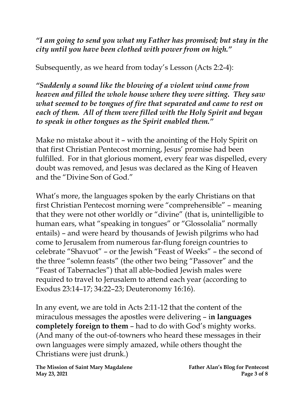*"I am going to send you what my Father has promised; but stay in the city until you have been clothed with power from on high."*

Subsequently, as we heard from today's Lesson (Acts 2:2-4):

*"Suddenly a sound like the blowing of a violent wind came from heaven and filled the whole house where they were sitting. They saw what seemed to be tongues of fire that separated and came to rest on each of them. All of them were filled with the Holy Spirit and began to speak in other tongues as the Spirit enabled them."*

Make no mistake about it – with the anointing of the Holy Spirit on that first Christian Pentecost morning, Jesus' promise had been fulfilled. For in that glorious moment, every fear was dispelled, every doubt was removed, and Jesus was declared as the King of Heaven and the "Divine Son of God."

What's more, the languages spoken by the early Christians on that first Christian Pentecost morning were "comprehensible" – meaning that they were not other worldly or "divine" (that is, unintelligible to human ears, what "speaking in tongues" or "Glossolalia" normally entails) – and were heard by thousands of Jewish pilgrims who had come to Jerusalem from numerous far-flung foreign countries to celebrate "Shavuot" – or the Jewish "Feast of Weeks" – the second of the three "solemn feasts" (the other two being "Passover" and the "Feast of Tabernacles") that all able-bodied Jewish males were required to travel to Jerusalem to attend each year (according to [Exodus 23:14](https://biblia.com/bible/esv/Exod%2023.14%E2%80%9317)–17; [34:22](https://biblia.com/bible/esv/Exodus%2034.22%E2%80%9323)–23; [Deuteronomy 16:16\)](https://biblia.com/bible/esv/Deut%2016.16).

In any event, we are told in Acts 2:11-12 that the content of the miraculous messages the apostles were delivering – i**n languages completely foreign to them** – had to do with God's mighty works. (And many of the out-of-towners who heard these messages in their own languages were simply amazed, while others thought the Christians were just drunk.)

**The Mission of Saint Mary Magdalene Father Alan's Blog for Pentecost May 23, 2021** Page 3 of 8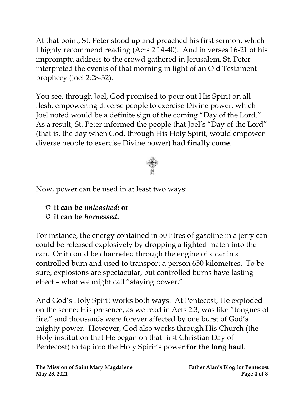At that point, St. Peter stood up and preached his first sermon, which I highly recommend reading (Acts 2:14-40). And in verses 16-21 of his impromptu address to the crowd gathered in Jerusalem, St. Peter interpreted the events of that morning in light of an Old Testament prophecy (Joel 2:28-32).

You see, through Joel, God promised to pour out His Spirit on all flesh, empowering diverse people to exercise Divine power, which Joel noted would be a definite sign of the coming "Day of the Lord." As a result, St. Peter informed the people that Joel's "Day of the Lord" (that is, the day when God, through His Holy Spirit, would empower diverse people to exercise Divine power) **had finally come**.



Now, power can be used in at least two ways:

 **it can be** *unleashed***; or it can be** *harnessed***.** 

For instance, the energy contained in 50 litres of gasoline in a jerry can could be released explosively by dropping a lighted match into the can. Or it could be channeled through the engine of a car in a controlled burn and used to transport a person 650 kilometres. To be sure, explosions are spectacular, but controlled burns have lasting effect – what we might call "staying power."

And God's Holy Spirit works both ways. At Pentecost, He exploded on the scene; His presence, as we read in Acts 2:3, was like "tongues of fire," and thousands were forever affected by one burst of God's mighty power. However, God also works through His Church (the Holy institution that He began on that first Christian Day of Pentecost) to tap into the Holy Spirit's power **for the long haul**.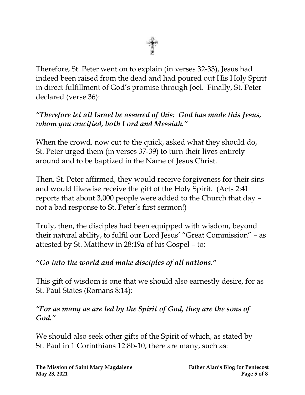

Therefore, St. Peter went on to explain (in verses 32-33), Jesus had indeed been raised from the dead and had poured out His Holy Spirit in direct fulfillment of God's promise through Joel. Finally, St. Peter declared (verse 36):

#### *"Therefore let all Israel be assured of this: God has made this Jesus, whom you crucified, both Lord and Messiah."*

When the crowd, now cut to the quick, asked what they should do, St. Peter urged them (in verses 37-39) to turn their lives entirely around and to be baptized in the Name of Jesus Christ.

Then, St. Peter affirmed, they would receive forgiveness for their sins and would likewise receive the gift of the Holy Spirit. (Acts 2:41 reports that about 3,000 people were added to the Church that day – not a bad response to St. Peter's first sermon!)

Truly, then, the disciples had been equipped with wisdom, beyond their natural ability, to fulfil our Lord Jesus' "Great Commission" – as attested by St. Matthew in 28:19a of his Gospel – to:

#### *"Go into the world and make disciples of all nations."*

This gift of wisdom is one that we should also earnestly desire, for as St. Paul States (Romans 8:14):

#### *"For as many as are led by the Spirit of God, they are the sons of God."*

We should also seek other gifts of the Spirit of which, as stated by St. Paul in 1 Corinthians 12:8b-10, there are many, such as: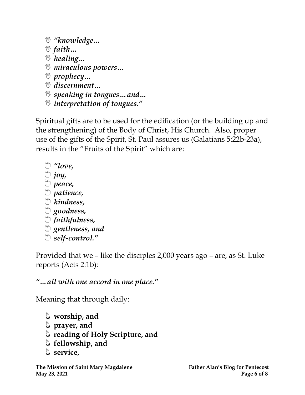```
 "knowledge…
 faith…
 healing…
 miraculous powers…
 prophecy…
 discernment…
 speaking in tongues…and…
```
*interpretation of tongues."*

Spiritual gifts are to be used for the edification (or the building up and the strengthening) of the Body of Christ, His Church. Also, proper use of the gifts of the Spirit, St. Paul assures us (Galatians 5:22b-23a), results in the "Fruits of the Spirit" which are:

*"love,*   $\circledcirc$  *joy*, *peace, patience, kindness, goodness, faithfulness, gentleness, and self-control."*

Provided that we – like the disciples 2,000 years ago – are, as St. Luke reports (Acts 2:1b):

*"…all with one accord in one place."*

Meaning that through daily:

```
worship, and
prayer, and
reading of Holy Scripture, and
fellowship, and
service,
```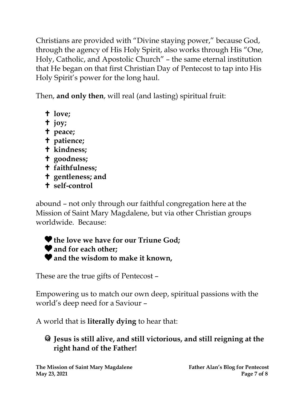Christians are provided with "Divine staying power," because God, through the agency of His Holy Spirit, also works through His "One, Holy, Catholic, and Apostolic Church" – the same eternal institution that He began on that first Christian Day of Pentecost to tap into His Holy Spirit's power for the long haul.

Then, **and only then**, will real (and lasting) spiritual fruit:

- **love;**
- **joy;**
- **peace;**
- **patience;**
- **kindness;**
- **goodness;**
- **faithfulness;**
- **gentleness; and**
- **self-control**

abound – not only through our faithful congregation here at the Mission of Saint Mary Magdalene, but via other Christian groups worldwide. Because:

**the love we have for our Triune God; and for each other; and the wisdom to make it known,** 

These are the true gifts of Pentecost –

Empowering us to match our own deep, spiritual passions with the world's deep need for a Saviour –

A world that is **literally dying** to hear that:

## **Jesus is still alive, and still victorious, and still reigning at the right hand of the Father!**